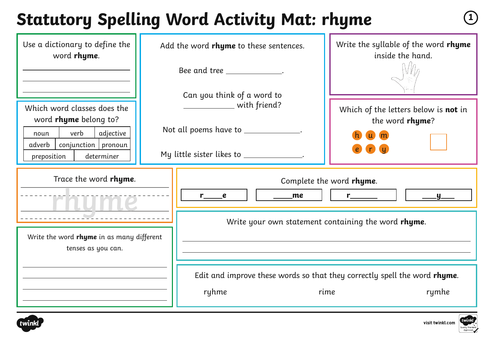#### **Statutory Spelling Word Activity Mat: rhyme**  $\qquad \qquad \textcircled{\tiny{1}}$

| Use a dictionary to define the<br>word rhyme.                                                                                                     | Add the word rhyme to these sentences.                                       |                                                                                                                                                                                                                                                                                                   | Write the syllable of the word rhyme<br>inside the hand.       |  |
|---------------------------------------------------------------------------------------------------------------------------------------------------|------------------------------------------------------------------------------|---------------------------------------------------------------------------------------------------------------------------------------------------------------------------------------------------------------------------------------------------------------------------------------------------|----------------------------------------------------------------|--|
|                                                                                                                                                   |                                                                              | Bee and tree ______________.                                                                                                                                                                                                                                                                      |                                                                |  |
| Which word classes does the<br>word rhyme belong to?<br>adjective<br>verb<br>noun<br>$conjunction$ pronoun<br>adverb<br>determiner<br>preposition |                                                                              | Can you think of a word to<br>with friend?                                                                                                                                                                                                                                                        | Which of the letters below is <b>not</b> in<br>the word rhyme? |  |
|                                                                                                                                                   | Not all poems have to __________<br>My little sister likes to _____________. |                                                                                                                                                                                                                                                                                                   |                                                                |  |
| Trace the word rhyme.<br>Write the word rhyme in as many different<br>tenses as you can.                                                          |                                                                              | Complete the word rhyme.<br>$r$ and $r$ and $r$ and $r$ and $r$ and $r$ and $r$ and $r$ and $r$ and $r$ and $r$ and $r$ and $r$ and $r$ and $r$ and $r$ and $r$ and $r$ and $r$ and $r$ and $r$ and $r$ and $r$ and $r$ and $r$ and $r$ and $r$ and $r$ a<br>me<br>$r \underline{\hspace{2cm}} e$ |                                                                |  |
|                                                                                                                                                   |                                                                              | Write your own statement containing the word rhyme.                                                                                                                                                                                                                                               |                                                                |  |
|                                                                                                                                                   |                                                                              |                                                                                                                                                                                                                                                                                                   |                                                                |  |
|                                                                                                                                                   |                                                                              | Edit and improve these words so that they correctly spell the word rhyme.<br>ryhme<br>rime<br>rymhe                                                                                                                                                                                               |                                                                |  |



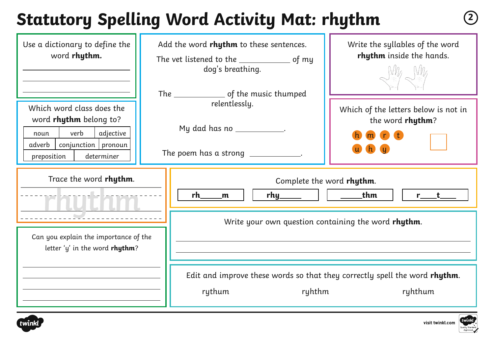# **Statutory Spelling Word Activity Mat: rhythm <sup>2</sup>**

| Use a dictionary to define the<br>word rhythm.                                                                                                   | Add the word rhythm to these sentences.<br>dog's breathing.                                    | Write the syllables of the word<br>rhythm inside the hands.                                                       |  |  |
|--------------------------------------------------------------------------------------------------------------------------------------------------|------------------------------------------------------------------------------------------------|-------------------------------------------------------------------------------------------------------------------|--|--|
| Which word class does the<br>word rhythm belong to?<br>verb<br>adjective<br>noun<br>$conjunction$ pronoun<br>adverb<br>determiner<br>preposition | relentlessly.<br>My dad has no ____________.<br>The poem has a strong ___________.             | Which of the letters below is not in<br>the word rhythm?<br>$m$ $n$ t                                             |  |  |
| Trace the word rhythm.                                                                                                                           | rh<br>m                                                                                        | Complete the word rhythm.<br>_thm<br>rhy______       _____<br>Write your own question containing the word rhythm. |  |  |
| Can you explain the importance of the<br>letter 'y' in the word rhythm?                                                                          |                                                                                                |                                                                                                                   |  |  |
|                                                                                                                                                  | Edit and improve these words so that they correctly spell the word rhythm.<br>rythum<br>ryhthm | ryhthum                                                                                                           |  |  |





visit twinkl.com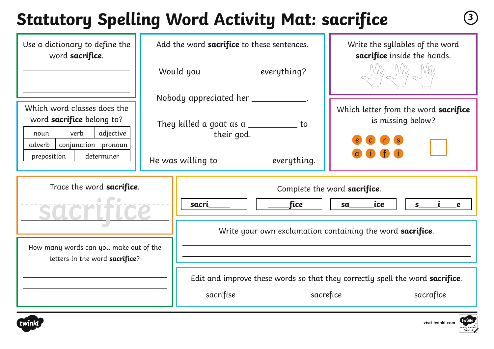## **Statutory Spelling Word Activity Mat: sacrifice <sup>3</sup>**

| Use a dictionary to define the<br>word sacrifice.                                                                          | Add the word sacrifice to these sentences.                                                                |                                          | Write the syllables of the word<br>sacrifice inside the hands.                          |
|----------------------------------------------------------------------------------------------------------------------------|-----------------------------------------------------------------------------------------------------------|------------------------------------------|-----------------------------------------------------------------------------------------|
|                                                                                                                            |                                                                                                           | Would you __________ everything?         | Ville Nille Wille                                                                       |
|                                                                                                                            | Nobody appreciated her ____________.<br>They killed a goat as a $\_\_\_\_\_\_\_\_\_\_\_$ to<br>their god. |                                          | Which letter from the word sacrifice<br>is missing below?                               |
| Which word classes does the<br>word sacrifice belong to?<br>verb<br>adjective<br>noun<br>$conjunction$   pronoun<br>adverb |                                                                                                           |                                          |                                                                                         |
| preposition<br>determiner                                                                                                  |                                                                                                           | He was willing to __________ everything. |                                                                                         |
| Trace the word sacrifice.                                                                                                  |                                                                                                           | _fice<br>sacri                           | Complete the word sacrifice.<br>sa <u>sa a se</u><br>ice<br>$S_{-}$<br>$\boldsymbol{e}$ |
|                                                                                                                            |                                                                                                           |                                          | Write your own exclamation containing the word sacrifice.                               |
| How many words can you make out of the<br>letters in the word sacrifice?                                                   |                                                                                                           |                                          |                                                                                         |
|                                                                                                                            |                                                                                                           |                                          | Edit and improve these words so that they correctly spell the word sacrifice.           |
|                                                                                                                            |                                                                                                           | sacrifise                                | sacrefice<br>sacrafice                                                                  |



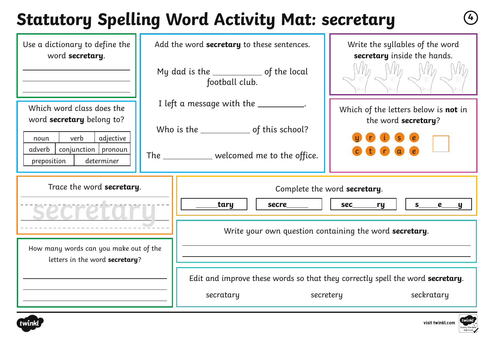# **Statutory Spelling Word Activity Mat: secretary <sup>4</sup>**

| Use a dictionary to define the<br>word secretary.                                         | Add the word secretary to these sentences.<br>My dad is the ______________ of the local | Write the syllables of the word<br>secretary inside the hands.                                           |  |  |
|-------------------------------------------------------------------------------------------|-----------------------------------------------------------------------------------------|----------------------------------------------------------------------------------------------------------|--|--|
|                                                                                           | football club.                                                                          |                                                                                                          |  |  |
| Which word class does the<br>word <b>secretary</b> belong to?                             | I left a message with the ___________.                                                  | Which of the letters below is not in<br>the word secretary?                                              |  |  |
| verb<br>adjective<br>noun<br>$conjunction$ pronoun<br>adverb<br>determiner<br>preposition | The ____________ welcomed me to the office.                                             |                                                                                                          |  |  |
| Trace the word secretary.                                                                 | tary<br><b>secre</b>                                                                    | Complete the word secretary.<br>sec____<br>S<br><u>ry</u><br>$\boldsymbol{e}$<br><u>y</u>                |  |  |
|                                                                                           |                                                                                         | Write your own question containing the word secretary.                                                   |  |  |
| How many words can you make out of the<br>letters in the word secretary?                  |                                                                                         |                                                                                                          |  |  |
|                                                                                           | secratary                                                                               | Edit and improve these words so that they correctly spell the word secretary.<br>seckratary<br>secretery |  |  |